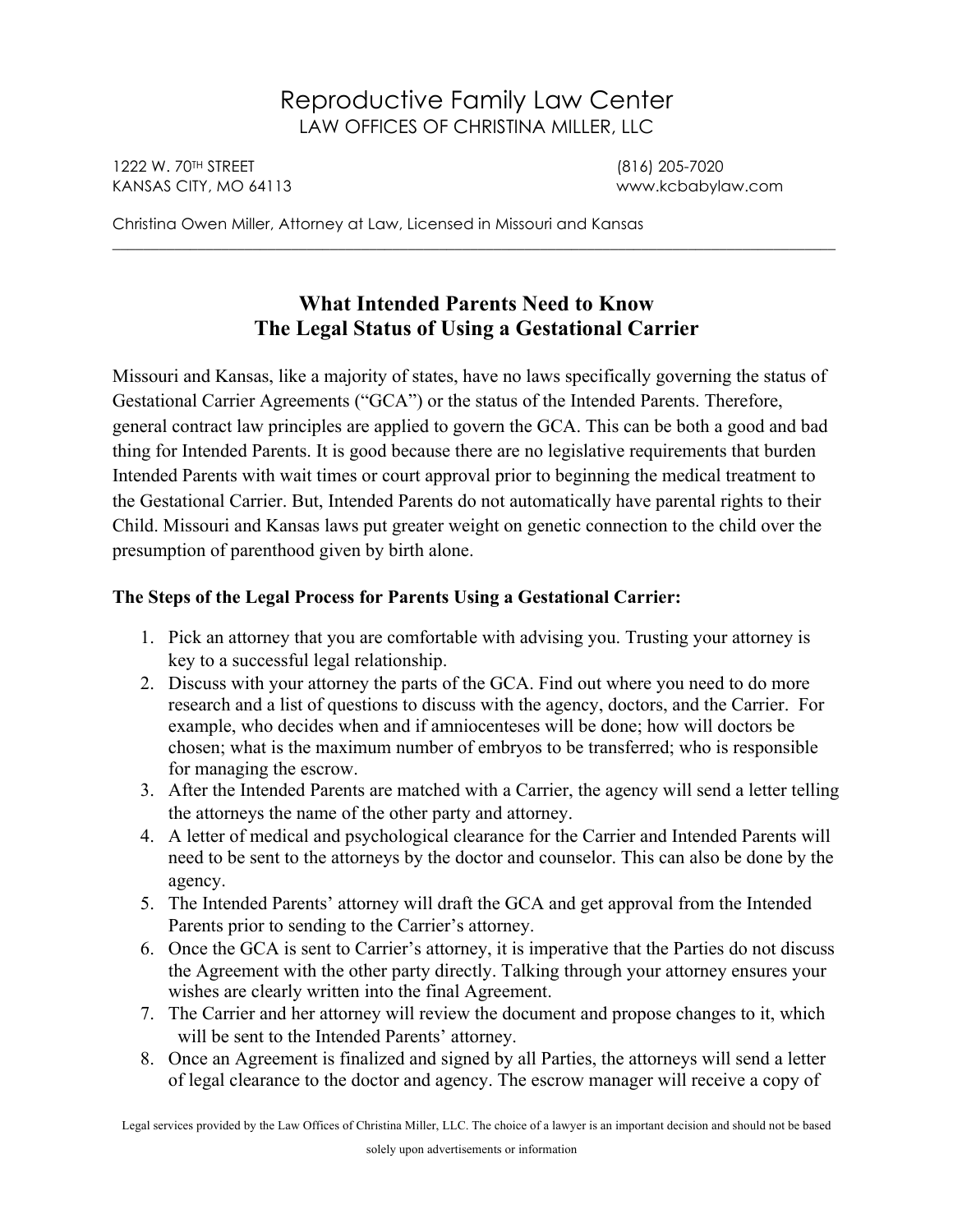# Reproductive Family Law Center LAW OFFICES OF CHRISTINA MILLER, LLC

1222 W. 70TH STREET (816) 205-7020 KANSAS CITY, MO 64113 www.kcbabylaw.com

Christina Owen Miller, Attorney at Law, Licensed in Missouri and Kansas

## **What Intended Parents Need to Know The Legal Status of Using a Gestational Carrier**

\_\_\_\_\_\_\_\_\_\_\_\_\_\_\_\_\_\_\_\_\_\_\_\_\_\_\_\_\_\_\_\_\_\_\_\_\_\_\_\_\_\_\_\_\_\_\_\_\_\_\_\_\_\_\_\_\_\_\_\_\_\_\_\_\_\_\_\_\_\_\_\_\_\_\_\_\_\_\_\_\_\_\_\_\_\_\_\_\_\_\_\_\_

Missouri and Kansas, like a majority of states, have no laws specifically governing the status of Gestational Carrier Agreements ("GCA") or the status of the Intended Parents. Therefore, general contract law principles are applied to govern the GCA. This can be both a good and bad thing for Intended Parents. It is good because there are no legislative requirements that burden Intended Parents with wait times or court approval prior to beginning the medical treatment to the Gestational Carrier. But, Intended Parents do not automatically have parental rights to their Child. Missouri and Kansas laws put greater weight on genetic connection to the child over the presumption of parenthood given by birth alone.

#### **The Steps of the Legal Process for Parents Using a Gestational Carrier:**

- 1. Pick an attorney that you are comfortable with advising you. Trusting your attorney is key to a successful legal relationship.
- 2. Discuss with your attorney the parts of the GCA. Find out where you need to do more research and a list of questions to discuss with the agency, doctors, and the Carrier. For example, who decides when and if amniocenteses will be done; how will doctors be chosen; what is the maximum number of embryos to be transferred; who is responsible for managing the escrow.
- 3. After the Intended Parents are matched with a Carrier, the agency will send a letter telling the attorneys the name of the other party and attorney.
- 4. A letter of medical and psychological clearance for the Carrier and Intended Parents will need to be sent to the attorneys by the doctor and counselor. This can also be done by the agency.
- 5. The Intended Parents' attorney will draft the GCA and get approval from the Intended Parents prior to sending to the Carrier's attorney.
- 6. Once the GCA is sent to Carrier's attorney, it is imperative that the Parties do not discuss the Agreement with the other party directly. Talking through your attorney ensures your wishes are clearly written into the final Agreement.
- 7. The Carrier and her attorney will review the document and propose changes to it, which will be sent to the Intended Parents' attorney.
- 8. Once an Agreement is finalized and signed by all Parties, the attorneys will send a letter of legal clearance to the doctor and agency. The escrow manager will receive a copy of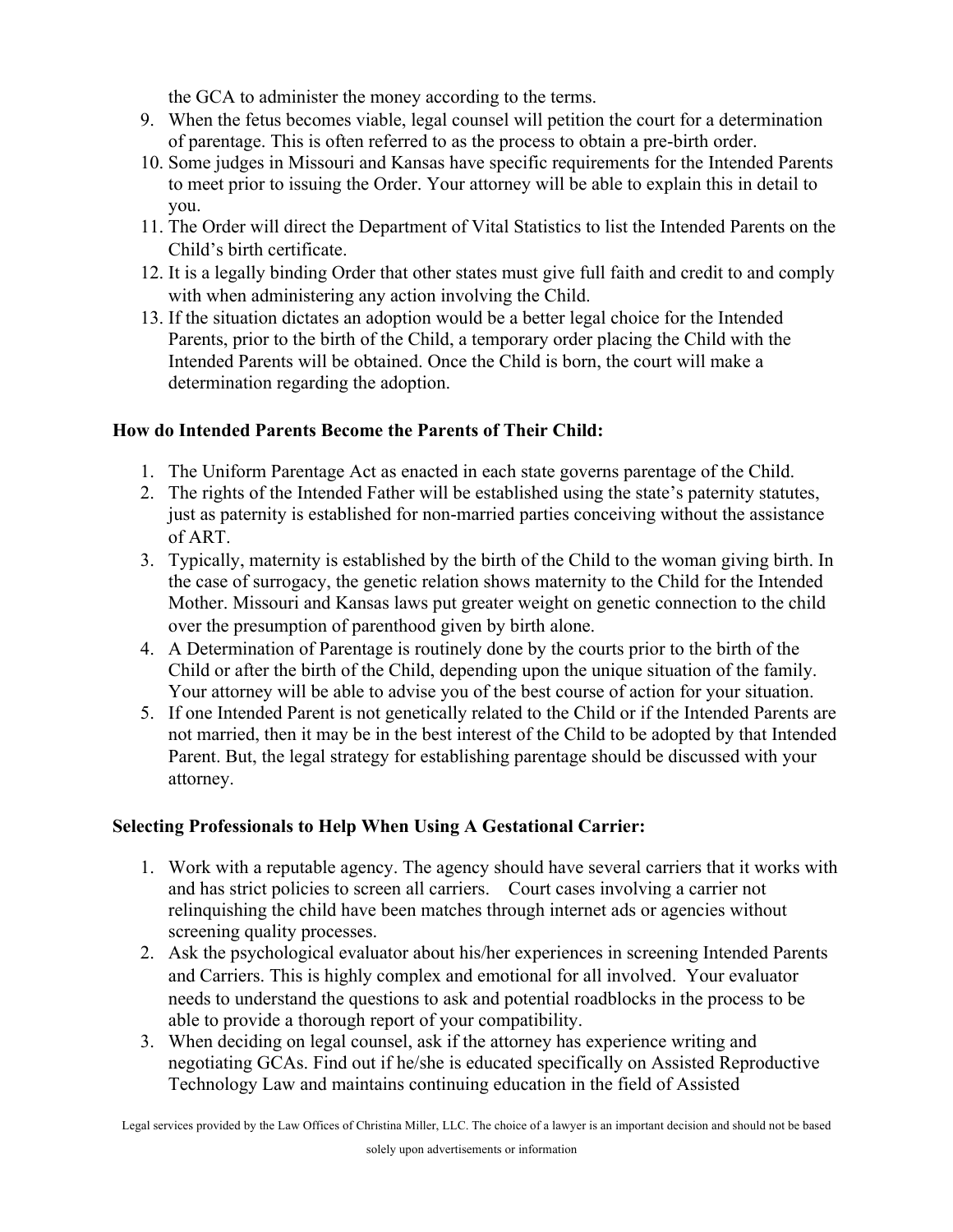the GCA to administer the money according to the terms.

- 9. When the fetus becomes viable, legal counsel will petition the court for a determination of parentage. This is often referred to as the process to obtain a pre-birth order.
- 10. Some judges in Missouri and Kansas have specific requirements for the Intended Parents to meet prior to issuing the Order. Your attorney will be able to explain this in detail to you.
- 11. The Order will direct the Department of Vital Statistics to list the Intended Parents on the Child's birth certificate.
- 12. It is a legally binding Order that other states must give full faith and credit to and comply with when administering any action involving the Child.
- 13. If the situation dictates an adoption would be a better legal choice for the Intended Parents, prior to the birth of the Child, a temporary order placing the Child with the Intended Parents will be obtained. Once the Child is born, the court will make a determination regarding the adoption.

#### **How do Intended Parents Become the Parents of Their Child:**

- 1. The Uniform Parentage Act as enacted in each state governs parentage of the Child.
- 2. The rights of the Intended Father will be established using the state's paternity statutes, just as paternity is established for non-married parties conceiving without the assistance of ART.
- 3. Typically, maternity is established by the birth of the Child to the woman giving birth. In the case of surrogacy, the genetic relation shows maternity to the Child for the Intended Mother. Missouri and Kansas laws put greater weight on genetic connection to the child over the presumption of parenthood given by birth alone.
- 4. A Determination of Parentage is routinely done by the courts prior to the birth of the Child or after the birth of the Child, depending upon the unique situation of the family. Your attorney will be able to advise you of the best course of action for your situation.
- 5. If one Intended Parent is not genetically related to the Child or if the Intended Parents are not married, then it may be in the best interest of the Child to be adopted by that Intended Parent. But, the legal strategy for establishing parentage should be discussed with your attorney.

### **Selecting Professionals to Help When Using A Gestational Carrier:**

- 1. Work with a reputable agency. The agency should have several carriers that it works with and has strict policies to screen all carriers. Court cases involving a carrier not relinquishing the child have been matches through internet ads or agencies without screening quality processes.
- 2. Ask the psychological evaluator about his/her experiences in screening Intended Parents and Carriers. This is highly complex and emotional for all involved. Your evaluator needs to understand the questions to ask and potential roadblocks in the process to be able to provide a thorough report of your compatibility.
- 3. When deciding on legal counsel, ask if the attorney has experience writing and negotiating GCAs. Find out if he/she is educated specifically on Assisted Reproductive Technology Law and maintains continuing education in the field of Assisted